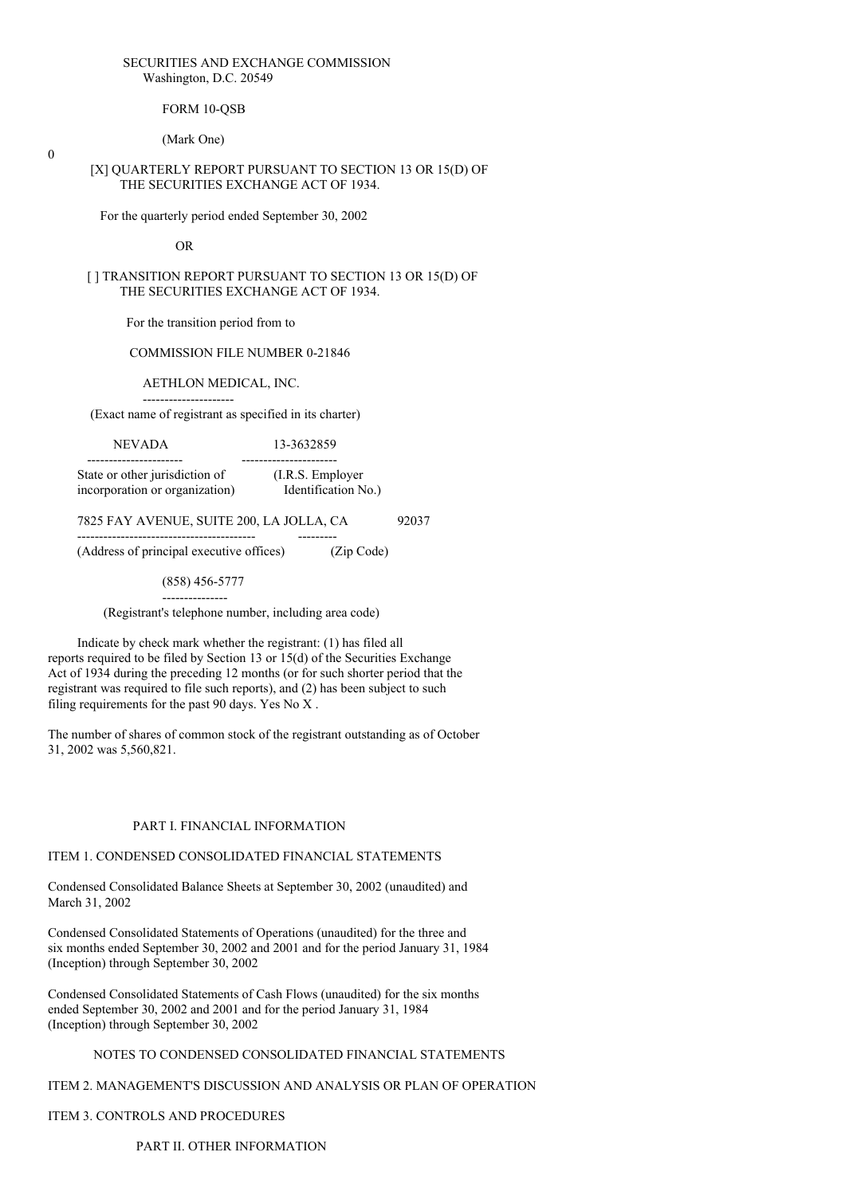### SECURITIES AND EXCHANGE COMMISSION Washington, D.C. 20549

FORM 10-OSB

(Mark One)

 $\theta$ 

### [X] QUARTERLY REPORT PURSUANT TO SECTION 13 OR 15(D) OF THE SECURITIES EXCHANGE ACT OF 1934.

For the quarterly period ended September 30, 2002

OR

[ ] TRANSITION REPORT PURSUANT TO SECTION 13 OR 15(D) OF THE SECURITIES EXCHANGE ACT OF 1934.

For the transition period from to

COMMISSION FILE NUMBER 0-21846

AETHLON MEDICAL, INC.

--------------------- (Exact name of registrant as specified in its charter)

NEVADA 13-3632859 ---------------------- ----------------------

State or other jurisdiction of (I.R.S. Employer incorporation or organization) Identification No.

7825 FAY AVENUE, SUITE 200, LA JOLLA, CA 92037

----------------------------------------- --------- (Address of principal executive offices) (Zip Code)

> (858) 456-5777 ---------------

(Registrant's telephone number, including area code)

Indicate by check mark whether the registrant: (1) has filed all reports required to be filed by Section 13 or 15(d) of the Securities Exchange Act of 1934 during the preceding 12 months (or for such shorter period that the registrant was required to file such reports), and (2) has been subject to such filing requirements for the past 90 days. Yes No X .

The number of shares of common stock of the registrant outstanding as of October 31, 2002 was 5,560,821.

## PART I. FINANCIAL INFORMATION

## ITEM 1. CONDENSED CONSOLIDATED FINANCIAL STATEMENTS

Condensed Consolidated Balance Sheets at September 30, 2002 (unaudited) and March 31, 2002

Condensed Consolidated Statements of Operations (unaudited) for the three and six months ended September 30, 2002 and 2001 and for the period January 31, 1984 (Inception) through September 30, 2002

Condensed Consolidated Statements of Cash Flows (unaudited) for the six months ended September 30, 2002 and 2001 and for the period January 31, 1984 (Inception) through September 30, 2002

## NOTES TO CONDENSED CONSOLIDATED FINANCIAL STATEMENTS

ITEM 2. MANAGEMENT'S DISCUSSION AND ANALYSIS OR PLAN OF OPERATION

ITEM 3. CONTROLS AND PROCEDURES

PART II. OTHER INFORMATION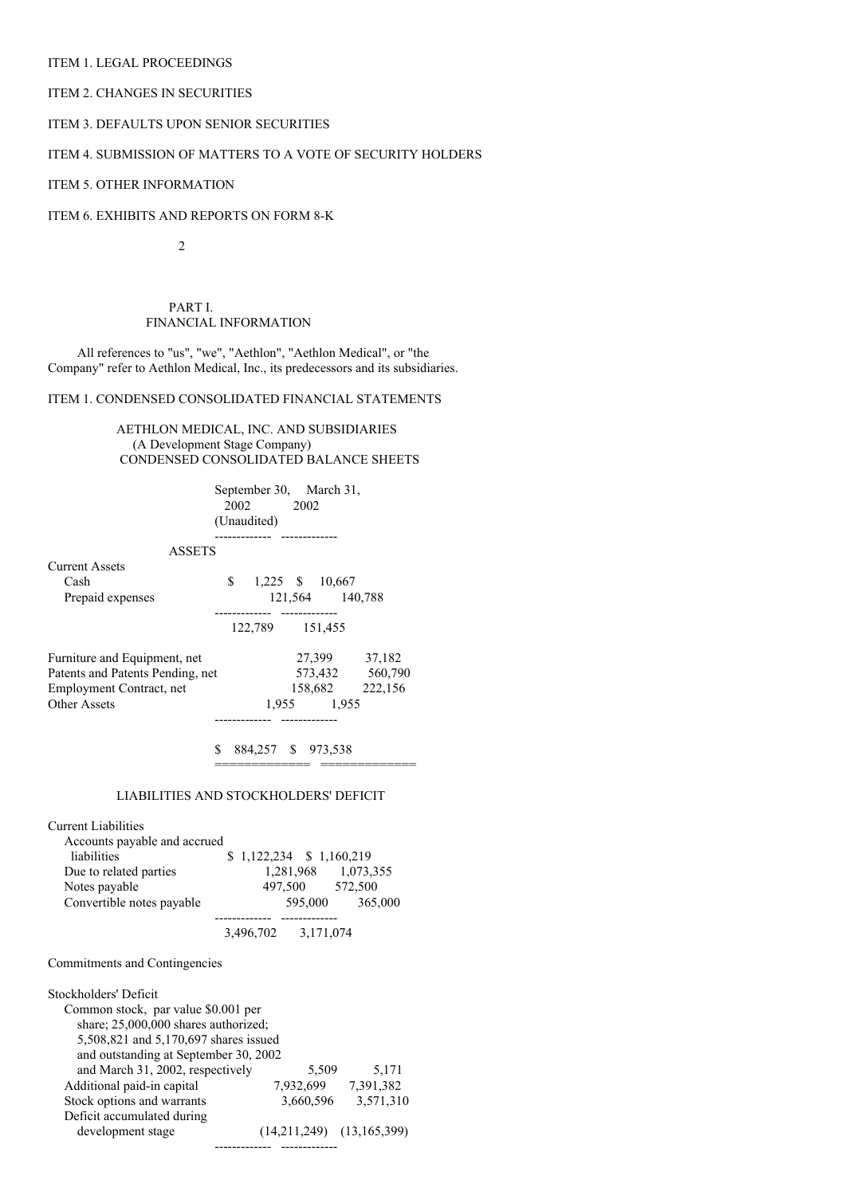## ITEM 1. LEGAL PROCEEDINGS

## ITEM 2. CHANGES IN SECURITIES

## ITEM 3. DEFAULTS UPON SENIOR SECURITIES

## ITEM 4. SUBMISSION OF MATTERS TO A VOTE OF SECURITY HOLDERS

## ITEM 5. OTHER INFORMATION

ITEM 6. EXHIBITS AND REPORTS ON FORM 8-K

 $\overline{\phantom{0}}$ 

PART I. FINANCIAL INFORMATION

All references to "us", "we", "Aethlon", "Aethlon Medical", or "the Company" refer to Aethlon Medical, Inc., its predecessors and its subsidiaries.

## ITEM 1. CONDENSED CONSOLIDATED FINANCIAL STATEMENTS

AETHLON MEDICAL, INC. AND SUBSIDIARIES (A Development Stage Company) CONDENSED CONSOLIDATED BALANCE SHEETS

|                                       |    |              | 2002 2002<br>(Unaudited) | September 30, March 31, |                 |
|---------------------------------------|----|--------------|--------------------------|-------------------------|-----------------|
| <b>ASSETS</b>                         |    |              |                          |                         |                 |
| <b>Current Assets</b>                 |    |              |                          |                         |                 |
| Cash                                  |    | $\mathbf{s}$ |                          | 1,225 \$ 10,667         |                 |
| Prepaid expenses                      |    |              |                          | 121,564 140,788         |                 |
|                                       |    |              |                          | 122,789 151,455         |                 |
| Furniture and Equipment, net          |    |              |                          |                         | 27,399 37,182   |
| Patents and Patents Pending, net      |    |              |                          |                         | 573,432 560,790 |
| Employment Contract, net              |    |              |                          |                         | 158,682 222,156 |
| <b>Other Assets</b>                   |    |              |                          | 1,955 1,955             |                 |
|                                       |    |              |                          |                         |                 |
|                                       | S. |              |                          | 884,257 \$ 973,538      |                 |
| LIABILITIES AND STOCKHOLDERS' DEFICIT |    |              |                          |                         |                 |
| <b>Current Liabilities</b>            |    |              |                          |                         |                 |
| Accounts pavable and accrued          |    |              |                          |                         |                 |

| liabilities               | $$1,122,234$ $$1,160,219$ |           |           |
|---------------------------|---------------------------|-----------|-----------|
| Due to related parties    |                           | 1,281,968 | 1,073,355 |
| Notes payable             | 497,500                   |           | 572,500   |
| Convertible notes payable |                           | 595,000   | 365,000   |
|                           |                           |           |           |
|                           | 3,496,702                 | 3,171,074 |           |

Commitments and Contingencies

| Stockholders' Deficit                 |                               |           |  |  |
|---------------------------------------|-------------------------------|-----------|--|--|
| Common stock, par value \$0.001 per   |                               |           |  |  |
| share; 25,000,000 shares authorized;  |                               |           |  |  |
| 5,508,821 and 5,170,697 shares issued |                               |           |  |  |
| and outstanding at September 30, 2002 |                               |           |  |  |
| and March 31, 2002, respectively      | 5,509                         | 5,171     |  |  |
| Additional paid-in capital            | 7,932,699                     | 7,391,382 |  |  |
| Stock options and warrants            | 3.660.596                     | 3,571,310 |  |  |
| Deficit accumulated during            |                               |           |  |  |
| development stage                     | $(14,211,249)$ $(13,165,399)$ |           |  |  |
|                                       |                               |           |  |  |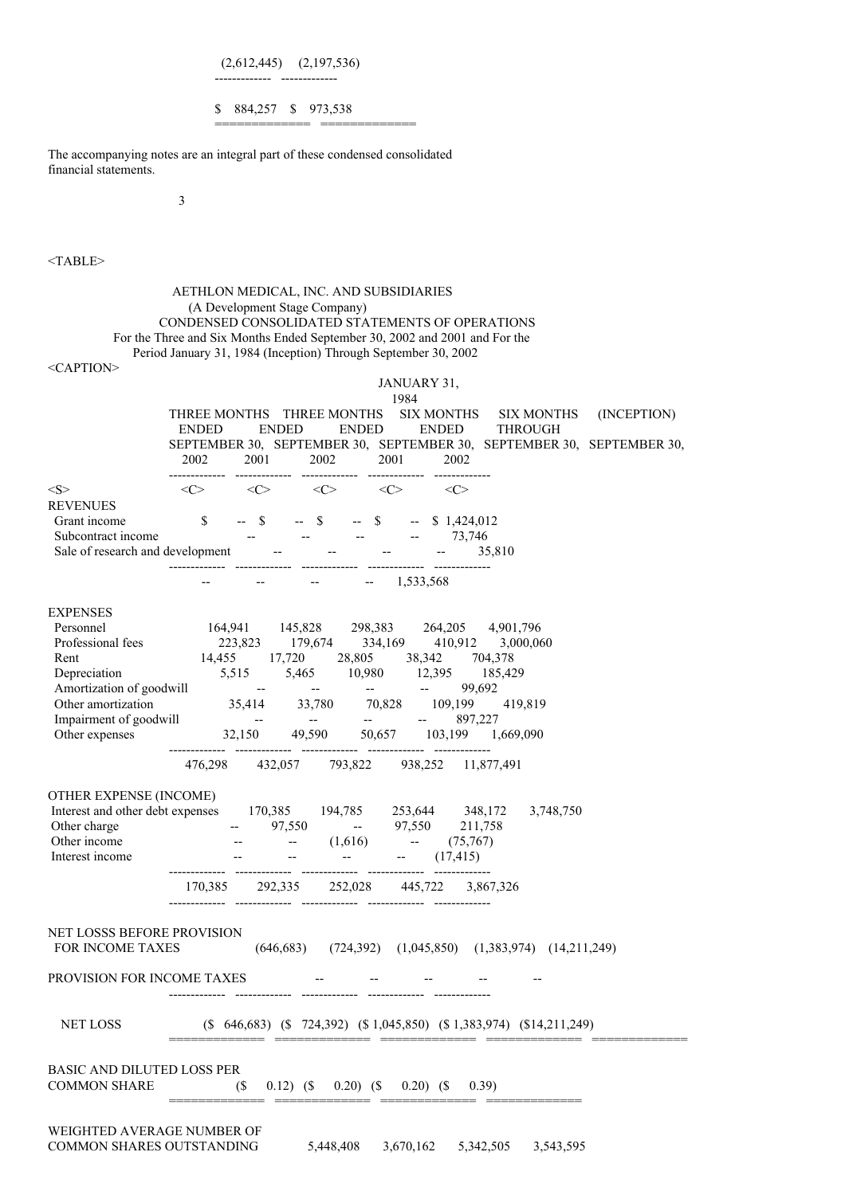(2,612,445) (2,197,536) ------------- -------------

\$ 884,257 \$ 973,538 ============= =============

The accompanying notes are an integral part of these condensed consolidated financial statements.

3

<TABLE>

AETHLON MEDICAL, INC. AND SUBSIDIARIES (A Development Stage Company) CONDENSED CONSOLIDATED STATEMENTS OF OPERATIONS For the Three and Six Months Ended September 30, 2002 and 2001 and For the Period January 31, 1984 (Inception) Through September 30, 2002 <CAPTION> JANUARY 31, 1984 THREE MONTHS THREE MONTHS SIX MONTHS SIX MONTHS (INCEPTION) ENDED ENDED ENDED ENDED THROUGH SEPTEMBER 30, SEPTEMBER 30, SEPTEMBER 30, SEPTEMBER 30, SEPTEMBER 30, 2002 2001 2002 2001 2002 ------------- ------------- ------------- ------------- -------------  $\langle S \rangle$   $\langle C \rangle$   $\langle C \rangle$   $\langle C \rangle$   $\langle C \rangle$   $\langle C \rangle$ REVENUES Grant income \$ -- \$ -- \$ -- \$ 1,424,012 Subcontract income -- -- -- -- -- 73,746 Sale of research and development -- - - - - - - - 35,810 ------------- ------------- ------------- ------------- ------------- -- - - - 1,533,568 EXPENSES Personnel 164,941 145,828 298,383 264,205 4,901,796 Professional fees 223,823 179,674 334,169 410,912 3,000,060 Rent 14,455 17,720 28,805 38,342 704,378 Depreciation 5,515 5,465 10,980 12,395 185,429 Amortization of goodwill -- - - - - - - - - 99,692 Other amortization 35,414 33,780 70,828 109,199 419,819 Impairment of goodwill -- - - - - - - - 897,227 Other expenses 32,150 49,590 50,657 103,199 1,669,090 ------------- ------------- ------------- ------------- ------------- 476,298 432,057 793,822 938,252 11,877,491 OTHER EXPENSE (INCOME) Interest and other debt expenses 170,385 194,785 253,644 348,172 3,748,750 Other charge -- 97,550 -- 97,550 211,758 Other income -- -- (1,616) -- (75,767)<br>Interest income -- -- -- -- (17.415) Interest income  $\qquad \qquad -- \qquad -- \qquad -- \qquad -- \qquad (17.415)$ ------------- ------------- ------------- ------------- ------------- 170,385 292,335 252,028 445,722 3,867,326 ------------- ------------- ------------- ------------- ------------- NET LOSSS BEFORE PROVISION FOR INCOME TAXES (646,683) (724,392) (1,045,850) (1,383,974) (14,211,249) PROVISION FOR INCOME TAXES -- - - - -------------- ------------- ------------- ------------- ------------- NET LOSS (\$ 646,683) (\$ 724,392) (\$ 1,045,850) (\$ 1,383,974) (\$14,211,249) ============= ============= ============= ============= ============= BASIC AND DILUTED LOSS PER COMMON SHARE (\$ 0.12) (\$ 0.20) (\$ 0.20) (\$ 0.39) ============= ============= ============= ============= WEIGHTED AVERAGE NUMBER OF COMMON SHARES OUTSTANDING 5,448,408 3,670,162 5,342,505 3,543,595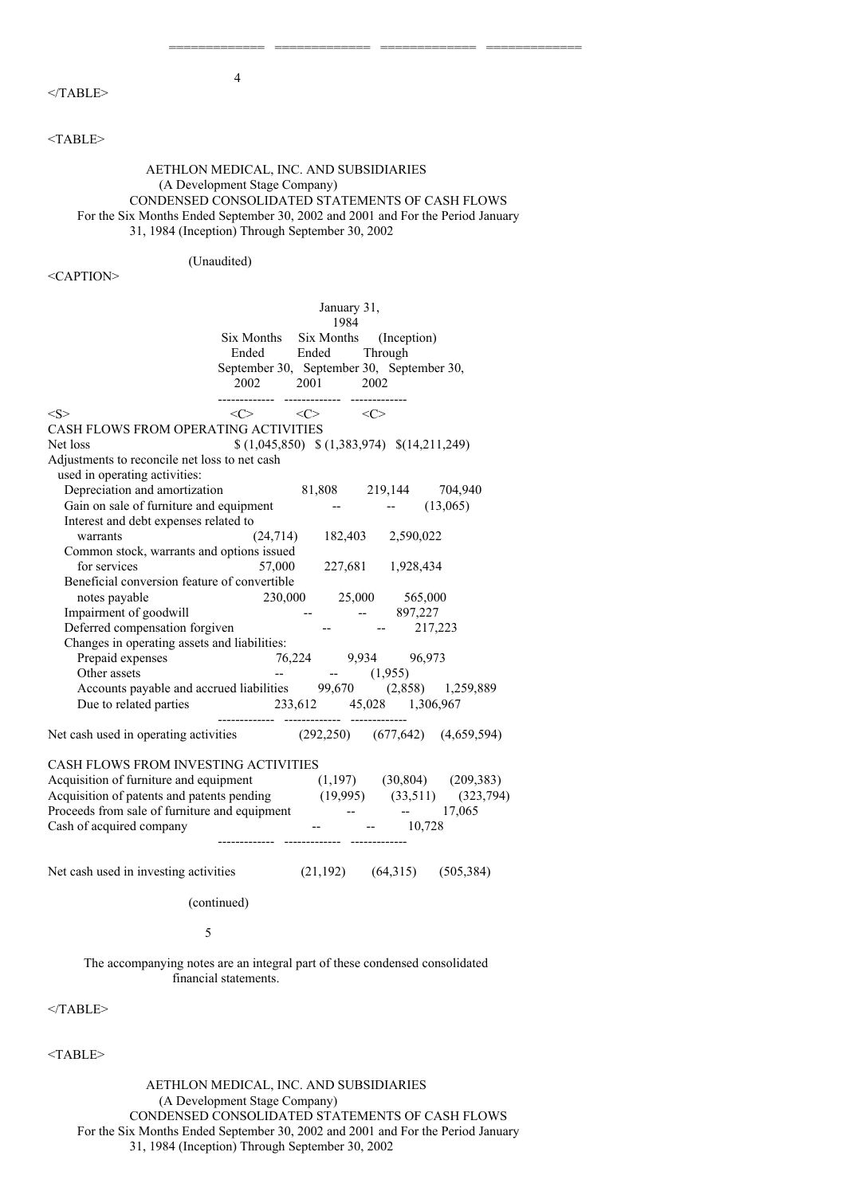<TABLE>

## AETHLON MEDICAL, INC. AND SUBSIDIARIES (A Development Stage Company) CONDENSED CONSOLIDATED STATEMENTS OF CASH FLOWS For the Six Months Ended September 30, 2002 and 2001 and For the Period January 31, 1984 (Inception) Through September 30, 2002

============= ============= ============= =============

(Unaudited)

<CAPTION>

| 1984<br>Six Months Six Months (Inception)<br>Ended Ended Through<br>September 30, September 30, September 30,<br>$2002 \qquad \quad 2001 \qquad \quad 2002$<br>------------ ------------ -----------<br>$\langle C \rangle$ $\langle C \rangle$ $\langle C \rangle$<br><s><br/>CASH FLOWS FROM OPERATING ACTIVITIES<br/><math>(1,045,850)</math> <math>(1,383,974)</math> <math>(14,211,249)</math><br/>Net loss<br/>Adjustments to reconcile net loss to net cash<br/>used in operating activities:<br/>Depreciation and amortization 81,808 219,144 704,940<br/>Gain on sale of furniture and equipment -- (13,065)</s> |  |
|---------------------------------------------------------------------------------------------------------------------------------------------------------------------------------------------------------------------------------------------------------------------------------------------------------------------------------------------------------------------------------------------------------------------------------------------------------------------------------------------------------------------------------------------------------------------------------------------------------------------------|--|
|                                                                                                                                                                                                                                                                                                                                                                                                                                                                                                                                                                                                                           |  |
|                                                                                                                                                                                                                                                                                                                                                                                                                                                                                                                                                                                                                           |  |
|                                                                                                                                                                                                                                                                                                                                                                                                                                                                                                                                                                                                                           |  |
|                                                                                                                                                                                                                                                                                                                                                                                                                                                                                                                                                                                                                           |  |
|                                                                                                                                                                                                                                                                                                                                                                                                                                                                                                                                                                                                                           |  |
|                                                                                                                                                                                                                                                                                                                                                                                                                                                                                                                                                                                                                           |  |
|                                                                                                                                                                                                                                                                                                                                                                                                                                                                                                                                                                                                                           |  |
|                                                                                                                                                                                                                                                                                                                                                                                                                                                                                                                                                                                                                           |  |
| Interest and debt expenses related to<br>$(24,714)$ 182,403 2,590,022<br>warrants                                                                                                                                                                                                                                                                                                                                                                                                                                                                                                                                         |  |
| Common stock, warrants and options issued                                                                                                                                                                                                                                                                                                                                                                                                                                                                                                                                                                                 |  |
| 57,000 227,681 1,928,434<br>for services                                                                                                                                                                                                                                                                                                                                                                                                                                                                                                                                                                                  |  |
| Beneficial conversion feature of convertible                                                                                                                                                                                                                                                                                                                                                                                                                                                                                                                                                                              |  |
| mous payable<br>Impairment of goodwill<br>Deferred community of the contract of the contract of the Deferred community of the Deferred community of the Deferred contract of the Deferred contract of the Deferred contract of the                                                                                                                                                                                                                                                                                                                                                                                        |  |
|                                                                                                                                                                                                                                                                                                                                                                                                                                                                                                                                                                                                                           |  |
| Impairment of goodwill<br>Deferred compensation forgiven<br>Changes in operating assets and liabilities:<br>$\frac{897,227}{217,223}$                                                                                                                                                                                                                                                                                                                                                                                                                                                                                     |  |
|                                                                                                                                                                                                                                                                                                                                                                                                                                                                                                                                                                                                                           |  |
| 76,224 9,934 96,973<br>Prepaid expenses                                                                                                                                                                                                                                                                                                                                                                                                                                                                                                                                                                                   |  |
| $  (1,955)$<br>Other assets                                                                                                                                                                                                                                                                                                                                                                                                                                                                                                                                                                                               |  |
| Accounts payable and accrued liabilities 99,670 (2,858) 1,259,889<br>Due to related parties 233,612 45,028 1,306,967                                                                                                                                                                                                                                                                                                                                                                                                                                                                                                      |  |
| Net cash used in operating activities (292,250) (677,642) (4,659,594)                                                                                                                                                                                                                                                                                                                                                                                                                                                                                                                                                     |  |
| CASH FLOWS FROM INVESTING ACTIVITIES                                                                                                                                                                                                                                                                                                                                                                                                                                                                                                                                                                                      |  |
| Acquisition of furniture and equipment (1,197) (30,804) (209,383)<br>Acquisition of patents and patents pending (19,995) (33,511) (323,794)                                                                                                                                                                                                                                                                                                                                                                                                                                                                               |  |
|                                                                                                                                                                                                                                                                                                                                                                                                                                                                                                                                                                                                                           |  |
| Proceeds from sale of furniture and equipment -- -- 17,065<br>Cash of acquired company -- -- 10,728                                                                                                                                                                                                                                                                                                                                                                                                                                                                                                                       |  |
| Cash of acquired company                                                                                                                                                                                                                                                                                                                                                                                                                                                                                                                                                                                                  |  |
| Net cash used in investing activities (21,192) (64,315) (505,384)                                                                                                                                                                                                                                                                                                                                                                                                                                                                                                                                                         |  |
| (continued)                                                                                                                                                                                                                                                                                                                                                                                                                                                                                                                                                                                                               |  |
| 5                                                                                                                                                                                                                                                                                                                                                                                                                                                                                                                                                                                                                         |  |

## The accompanying notes are an integral part of these condensed consolidated financial statements.

 $<$ /TABLE>

<TABLE>

AETHLON MEDICAL, INC. AND SUBSIDIARIES (A Development Stage Company) CONDENSED CONSOLIDATED STATEMENTS OF CASH FLOWS For the Six Months Ended September 30, 2002 and 2001 and For the Period January 31, 1984 (Inception) Through September 30, 2002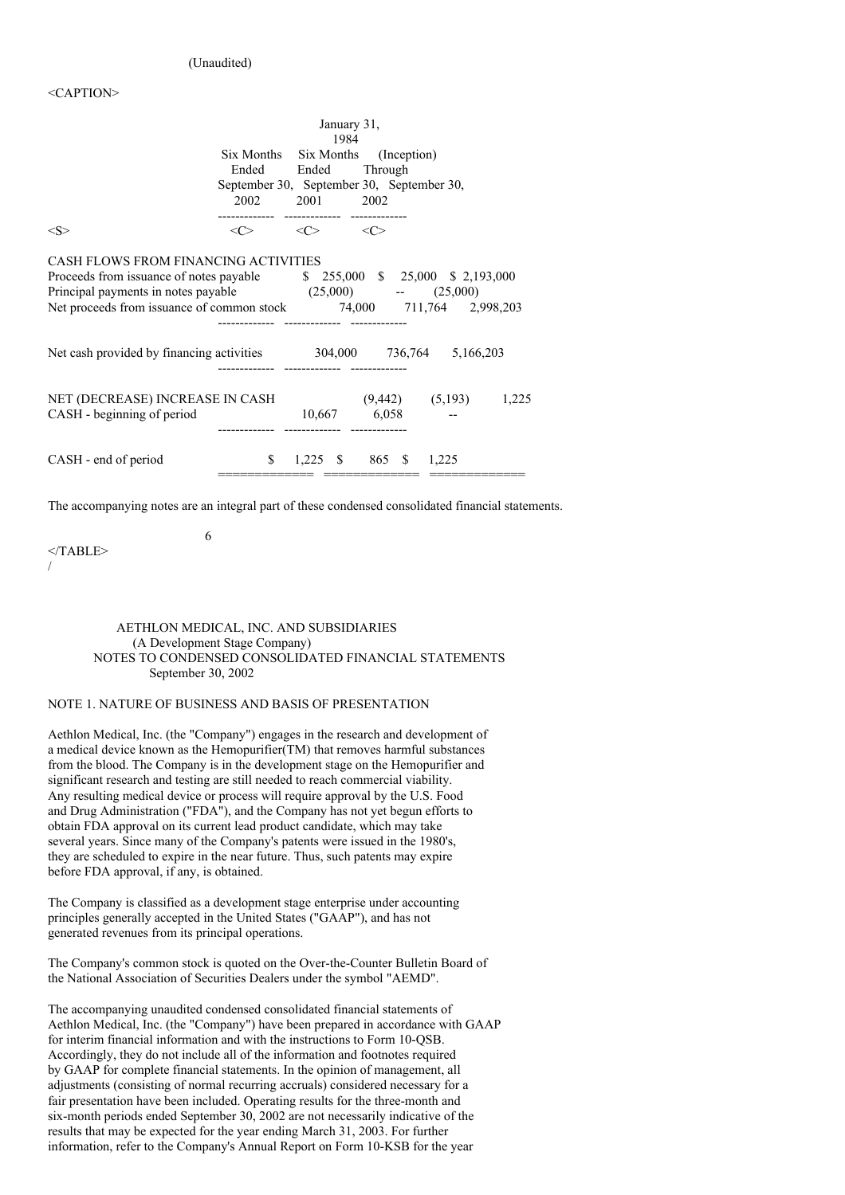## <CAPTION>

|                                                                                                                                                                                                                                                                 |                                                             | January 31,<br>1984 |                         |                             |  |
|-----------------------------------------------------------------------------------------------------------------------------------------------------------------------------------------------------------------------------------------------------------------|-------------------------------------------------------------|---------------------|-------------------------|-----------------------------|--|
|                                                                                                                                                                                                                                                                 | Six Months Six Months (Inception)                           |                     |                         |                             |  |
|                                                                                                                                                                                                                                                                 |                                                             | Ended Ended Through |                         |                             |  |
|                                                                                                                                                                                                                                                                 | September 30, September 30, September 30,                   |                     |                         |                             |  |
|                                                                                                                                                                                                                                                                 |                                                             | 2002 2001 2002      |                         |                             |  |
| $<\ge$                                                                                                                                                                                                                                                          | $\langle C \rangle$ $\langle C \rangle$ $\langle C \rangle$ |                     |                         |                             |  |
| <b>CASH FLOWS FROM FINANCING ACTIVITIES</b><br>Proceeds from issuance of notes payable \$ 255,000 \$ 25,000 \$ 2,193,000<br>Principal payments in notes payable $(25,000)$ -- $(25,000)$<br>Net proceeds from issuance of common stock 74,000 711,764 2,998,203 |                                                             |                     |                         |                             |  |
| Net cash provided by financing activities 304,000 736,764 5,166,203                                                                                                                                                                                             | -------- -------------                                      |                     |                         |                             |  |
| NET (DECREASE) INCREASE IN CASH<br>CASH - beginning of period                                                                                                                                                                                                   |                                                             |                     | 10,667 6,058            | $(9,442)$ $(5,193)$ $1,225$ |  |
| CASH - end of period                                                                                                                                                                                                                                            | \$.                                                         |                     | $1,225$ \$ 865 \$ 1,225 |                             |  |

The accompanying notes are an integral part of these condensed consolidated financial statements.

6

 $<$ /TABLE> /

## AETHLON MEDICAL, INC. AND SUBSIDIARIES (A Development Stage Company) NOTES TO CONDENSED CONSOLIDATED FINANCIAL STATEMENTS September 30, 2002

## NOTE 1. NATURE OF BUSINESS AND BASIS OF PRESENTATION

Aethlon Medical, Inc. (the "Company") engages in the research and development of a medical device known as the Hemopurifier(TM) that removes harmful substances from the blood. The Company is in the development stage on the Hemopurifier and significant research and testing are still needed to reach commercial viability. Any resulting medical device or process will require approval by the U.S. Food and Drug Administration ("FDA"), and the Company has not yet begun efforts to obtain FDA approval on its current lead product candidate, which may take several years. Since many of the Company's patents were issued in the 1980's, they are scheduled to expire in the near future. Thus, such patents may expire before FDA approval, if any, is obtained.

The Company is classified as a development stage enterprise under accounting principles generally accepted in the United States ("GAAP"), and has not generated revenues from its principal operations.

The Company's common stock is quoted on the Over-the-Counter Bulletin Board of the National Association of Securities Dealers under the symbol "AEMD".

The accompanying unaudited condensed consolidated financial statements of Aethlon Medical, Inc. (the "Company") have been prepared in accordance with GAAP for interim financial information and with the instructions to Form 10-QSB. Accordingly, they do not include all of the information and footnotes required by GAAP for complete financial statements. In the opinion of management, all adjustments (consisting of normal recurring accruals) considered necessary for a fair presentation have been included. Operating results for the three-month and six-month periods ended September 30, 2002 are not necessarily indicative of the results that may be expected for the year ending March 31, 2003. For further information, refer to the Company's Annual Report on Form 10-KSB for the year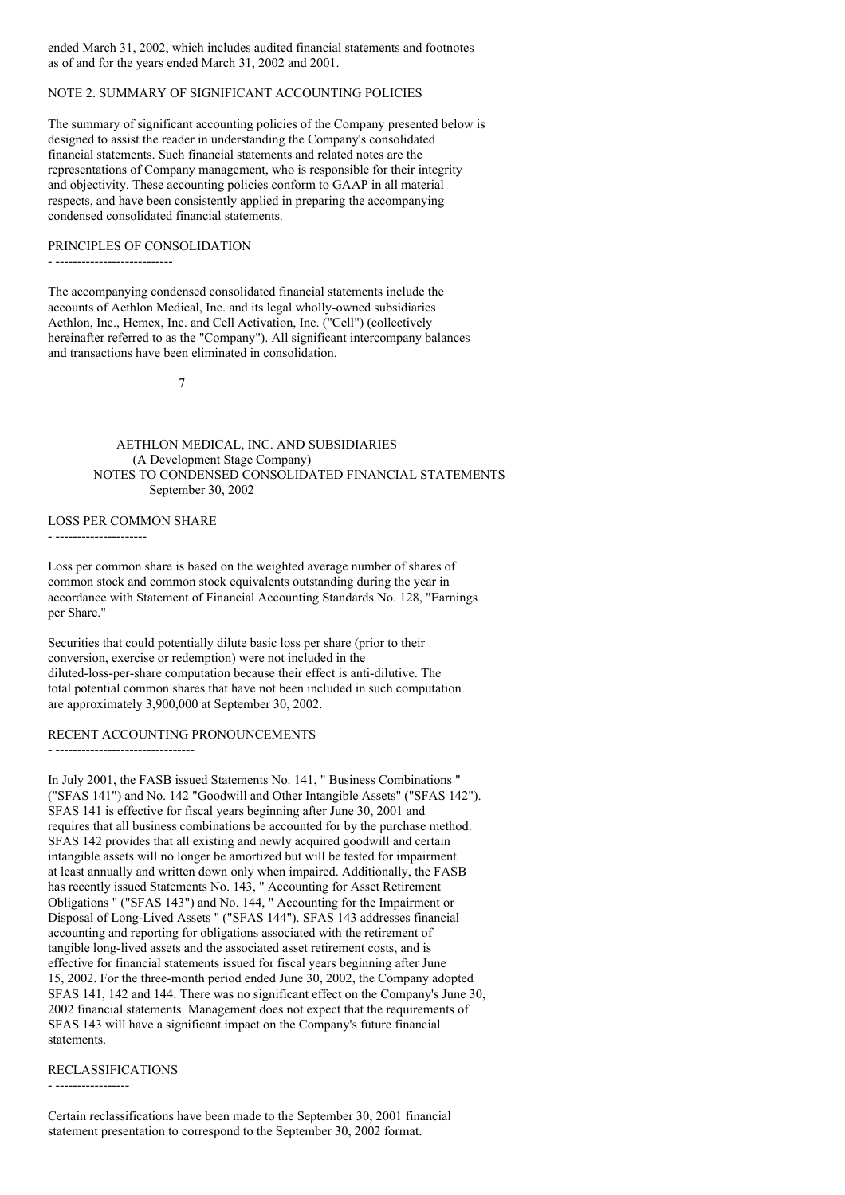ended March 31, 2002, which includes audited financial statements and footnotes as of and for the years ended March 31, 2002 and 2001.

## NOTE 2. SUMMARY OF SIGNIFICANT ACCOUNTING POLICIES

The summary of significant accounting policies of the Company presented below is designed to assist the reader in understanding the Company's consolidated financial statements. Such financial statements and related notes are the representations of Company management, who is responsible for their integrity and objectivity. These accounting policies conform to GAAP in all material respects, and have been consistently applied in preparing the accompanying condensed consolidated financial statements.

#### PRINCIPLES OF CONSOLIDATION

 $-$ 

The accompanying condensed consolidated financial statements include the accounts of Aethlon Medical, Inc. and its legal wholly-owned subsidiaries Aethlon, Inc., Hemex, Inc. and Cell Activation, Inc. ("Cell") (collectively hereinafter referred to as the "Company"). All significant intercompany balances and transactions have been eliminated in consolidation.

7

## AETHLON MEDICAL, INC. AND SUBSIDIARIES (A Development Stage Company) NOTES TO CONDENSED CONSOLIDATED FINANCIAL STATEMENTS September 30, 2002

#### LOSS PER COMMON SHARE

- ---------------------

Loss per common share is based on the weighted average number of shares of common stock and common stock equivalents outstanding during the year in accordance with Statement of Financial Accounting Standards No. 128, "Earnings per Share."

Securities that could potentially dilute basic loss per share (prior to their conversion, exercise or redemption) were not included in the diluted-loss-per-share computation because their effect is anti-dilutive. The total potential common shares that have not been included in such computation are approximately 3,900,000 at September 30, 2002.

### RECENT ACCOUNTING PRONOUNCEMENTS

- ----------------------------------

In July 2001, the FASB issued Statements No. 141, " Business Combinations " ("SFAS 141") and No. 142 "Goodwill and Other Intangible Assets" ("SFAS 142"). SFAS 141 is effective for fiscal years beginning after June 30, 2001 and requires that all business combinations be accounted for by the purchase method. SFAS 142 provides that all existing and newly acquired goodwill and certain intangible assets will no longer be amortized but will be tested for impairment at least annually and written down only when impaired. Additionally, the FASB has recently issued Statements No. 143, " Accounting for Asset Retirement Obligations " ("SFAS 143") and No. 144, " Accounting for the Impairment or Disposal of Long-Lived Assets " ("SFAS 144"). SFAS 143 addresses financial accounting and reporting for obligations associated with the retirement of tangible long-lived assets and the associated asset retirement costs, and is effective for financial statements issued for fiscal years beginning after June 15, 2002. For the three-month period ended June 30, 2002, the Company adopted SFAS 141, 142 and 144. There was no significant effect on the Company's June 30, 2002 financial statements. Management does not expect that the requirements of SFAS 143 will have a significant impact on the Company's future financial statements.

#### RECLASSIFICATIONS

- -----------------

Certain reclassifications have been made to the September 30, 2001 financial statement presentation to correspond to the September 30, 2002 format.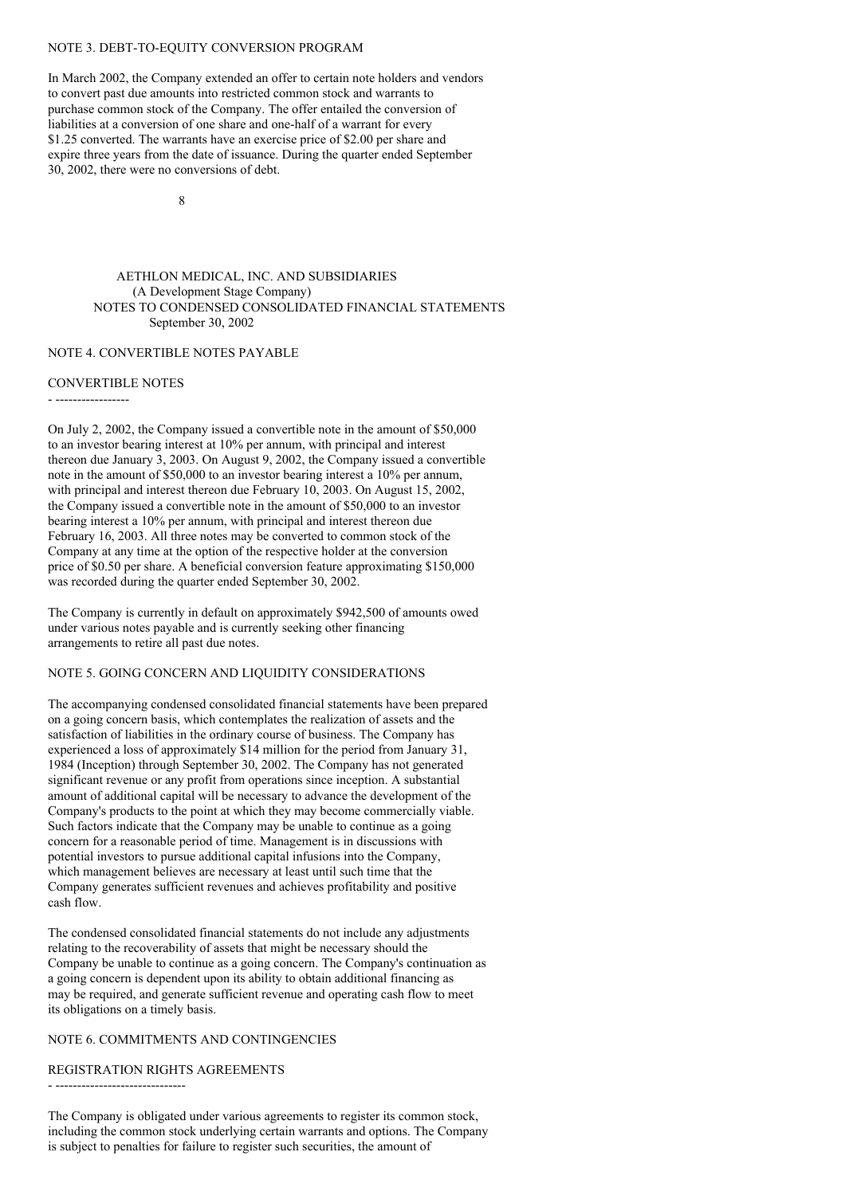## NOTE 3. DEBT-TO-EQUITY CONVERSION PROGRAM

In March 2002, the Company extended an offer to certain note holders and vendors to convert past due amounts into restricted common stock and warrants to purchase common stock of the Company. The offer entailed the conversion of liabilities at a conversion of one share and one-half of a warrant for every \$1.25 converted. The warrants have an exercise price of \$2.00 per share and expire three years from the date of issuance. During the quarter ended September 30, 2002, there were no conversions of debt.

8

AETHLON MEDICAL, INC. AND SUBSIDIARIES (A Development Stage Company) NOTES TO CONDENSED CONSOLIDATED FINANCIAL STATEMENTS September 30, 2002

## NOTE 4. CONVERTIBLE NOTES PAYABLE

## CONVERTIBLE NOTES

- -----------------

On July 2, 2002, the Company issued a convertible note in the amount of \$50,000 to an investor bearing interest at 10% per annum, with principal and interest thereon due January 3, 2003. On August 9, 2002, the Company issued a convertible note in the amount of \$50,000 to an investor bearing interest a 10% per annum, with principal and interest thereon due February 10, 2003. On August 15, 2002, the Company issued a convertible note in the amount of \$50,000 to an investor bearing interest a 10% per annum, with principal and interest thereon due February 16, 2003. All three notes may be converted to common stock of the Company at any time at the option of the respective holder at the conversion price of \$0.50 per share. A beneficial conversion feature approximating \$150,000 was recorded during the quarter ended September 30, 2002.

The Company is currently in default on approximately \$942,500 of amounts owed under various notes payable and is currently seeking other financing arrangements to retire all past due notes.

### NOTE 5. GOING CONCERN AND LIQUIDITY CONSIDERATIONS

The accompanying condensed consolidated financial statements have been prepared on a going concern basis, which contemplates the realization of assets and the satisfaction of liabilities in the ordinary course of business. The Company has experienced a loss of approximately \$14 million for the period from January 31, 1984 (Inception) through September 30, 2002. The Company has not generated significant revenue or any profit from operations since inception. A substantial amount of additional capital will be necessary to advance the development of the Company's products to the point at which they may become commercially viable. Such factors indicate that the Company may be unable to continue as a going concern for a reasonable period of time. Management is in discussions with potential investors to pursue additional capital infusions into the Company, which management believes are necessary at least until such time that the Company generates sufficient revenues and achieves profitability and positive cash flow.

The condensed consolidated financial statements do not include any adjustments relating to the recoverability of assets that might be necessary should the Company be unable to continue as a going concern. The Company's continuation as a going concern is dependent upon its ability to obtain additional financing as may be required, and generate sufficient revenue and operating cash flow to meet its obligations on a timely basis.

## NOTE 6. COMMITMENTS AND CONTINGENCIES

## REGISTRATION RIGHTS AGREEMENTS

- ------------------------------

The Company is obligated under various agreements to register its common stock, including the common stock underlying certain warrants and options. The Company is subject to penalties for failure to register such securities, the amount of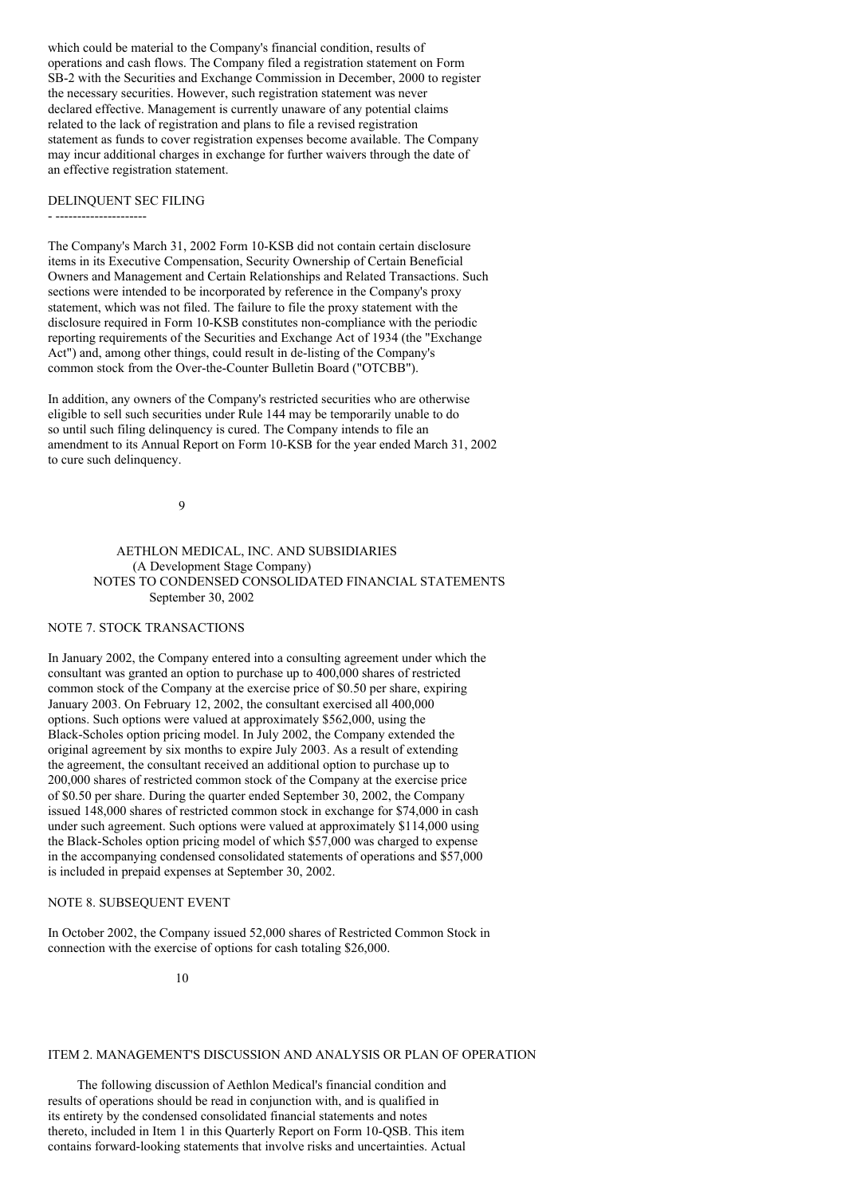which could be material to the Company's financial condition, results of operations and cash flows. The Company filed a registration statement on Form SB-2 with the Securities and Exchange Commission in December, 2000 to register the necessary securities. However, such registration statement was never declared effective. Management is currently unaware of any potential claims related to the lack of registration and plans to file a revised registration statement as funds to cover registration expenses become available. The Company may incur additional charges in exchange for further waivers through the date of an effective registration statement.

DELINQUENT SEC FILING

- ---------------------

The Company's March 31, 2002 Form 10-KSB did not contain certain disclosure items in its Executive Compensation, Security Ownership of Certain Beneficial Owners and Management and Certain Relationships and Related Transactions. Such sections were intended to be incorporated by reference in the Company's proxy statement, which was not filed. The failure to file the proxy statement with the disclosure required in Form 10-KSB constitutes non-compliance with the periodic reporting requirements of the Securities and Exchange Act of 1934 (the "Exchange Act") and, among other things, could result in de-listing of the Company's common stock from the Over-the-Counter Bulletin Board ("OTCBB").

In addition, any owners of the Company's restricted securities who are otherwise eligible to sell such securities under Rule 144 may be temporarily unable to do so until such filing delinquency is cured. The Company intends to file an amendment to its Annual Report on Form 10-KSB for the year ended March 31, 2002 to cure such delinquency.

9

AETHLON MEDICAL, INC. AND SUBSIDIARIES (A Development Stage Company) NOTES TO CONDENSED CONSOLIDATED FINANCIAL STATEMENTS September 30, 2002

### NOTE 7. STOCK TRANSACTIONS

In January 2002, the Company entered into a consulting agreement under which the consultant was granted an option to purchase up to 400,000 shares of restricted common stock of the Company at the exercise price of \$0.50 per share, expiring January 2003. On February 12, 2002, the consultant exercised all 400,000 options. Such options were valued at approximately \$562,000, using the Black-Scholes option pricing model. In July 2002, the Company extended the original agreement by six months to expire July 2003. As a result of extending the agreement, the consultant received an additional option to purchase up to 200,000 shares of restricted common stock of the Company at the exercise price of \$0.50 per share. During the quarter ended September 30, 2002, the Company issued 148,000 shares of restricted common stock in exchange for \$74,000 in cash under such agreement. Such options were valued at approximately \$114,000 using the Black-Scholes option pricing model of which \$57,000 was charged to expense in the accompanying condensed consolidated statements of operations and \$57,000 is included in prepaid expenses at September 30, 2002.

#### NOTE 8. SUBSEQUENT EVENT

In October 2002, the Company issued 52,000 shares of Restricted Common Stock in connection with the exercise of options for cash totaling \$26,000.

10

## ITEM 2. MANAGEMENT'S DISCUSSION AND ANALYSIS OR PLAN OF OPERATION

The following discussion of Aethlon Medical's financial condition and results of operations should be read in conjunction with, and is qualified in its entirety by the condensed consolidated financial statements and notes thereto, included in Item 1 in this Quarterly Report on Form 10-QSB. This item contains forward-looking statements that involve risks and uncertainties. Actual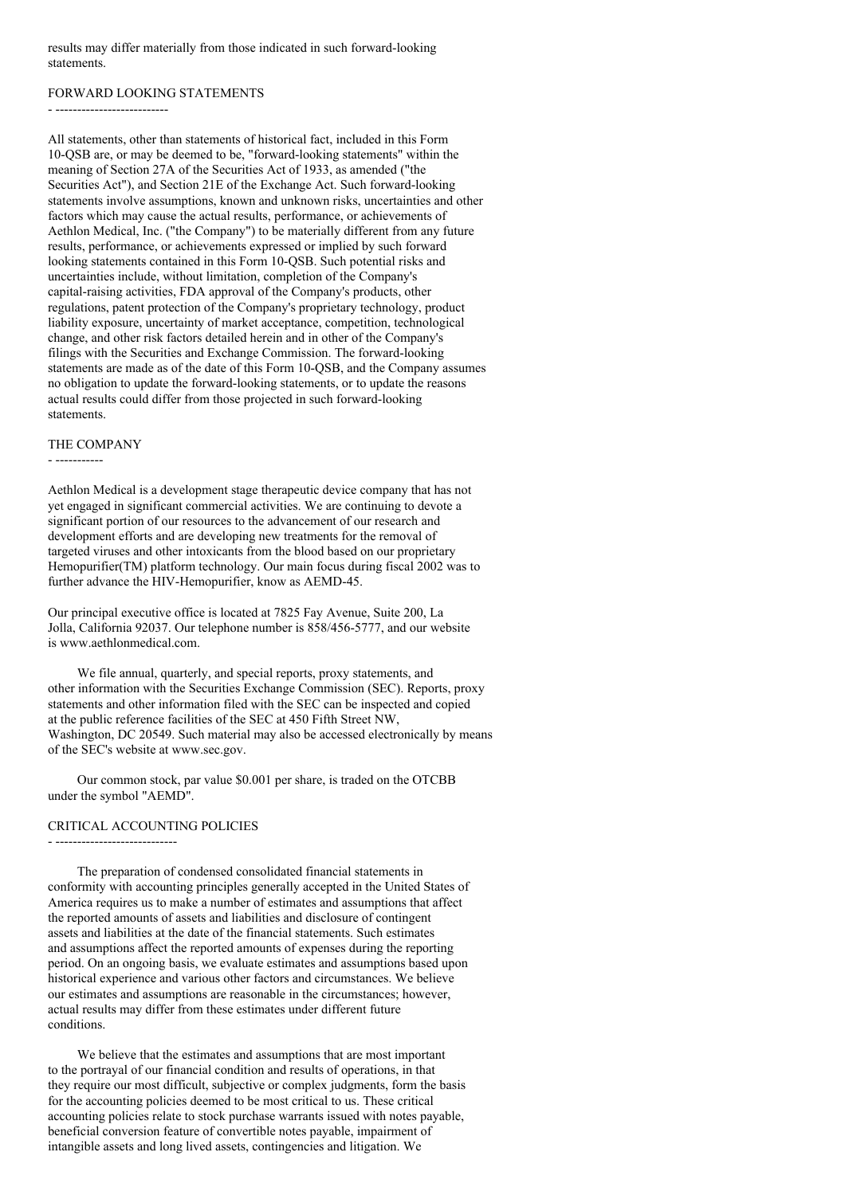results may differ materially from those indicated in such forward-looking statements.

## FORWARD LOOKING STATEMENTS

- --------------------------

All statements, other than statements of historical fact, included in this Form 10-QSB are, or may be deemed to be, "forward-looking statements" within the meaning of Section 27A of the Securities Act of 1933, as amended ("the Securities Act"), and Section 21E of the Exchange Act. Such forward-looking statements involve assumptions, known and unknown risks, uncertainties and other factors which may cause the actual results, performance, or achievements of Aethlon Medical, Inc. ("the Company") to be materially different from any future results, performance, or achievements expressed or implied by such forward looking statements contained in this Form 10-QSB. Such potential risks and uncertainties include, without limitation, completion of the Company's capital-raising activities, FDA approval of the Company's products, other regulations, patent protection of the Company's proprietary technology, product liability exposure, uncertainty of market acceptance, competition, technological change, and other risk factors detailed herein and in other of the Company's filings with the Securities and Exchange Commission. The forward-looking statements are made as of the date of this Form 10-QSB, and the Company assumes no obligation to update the forward-looking statements, or to update the reasons actual results could differ from those projected in such forward-looking statements.

### THE COMPANY

- -----------

Aethlon Medical is a development stage therapeutic device company that has not yet engaged in significant commercial activities. We are continuing to devote a significant portion of our resources to the advancement of our research and development efforts and are developing new treatments for the removal of targeted viruses and other intoxicants from the blood based on our proprietary Hemopurifier(TM) platform technology. Our main focus during fiscal 2002 was to further advance the HIV-Hemopurifier, know as AEMD-45.

Our principal executive office is located at 7825 Fay Avenue, Suite 200, La Jolla, California 92037. Our telephone number is 858/456-5777, and our website is www.aethlonmedical.com.

We file annual, quarterly, and special reports, proxy statements, and other information with the Securities Exchange Commission (SEC). Reports, proxy statements and other information filed with the SEC can be inspected and copied at the public reference facilities of the SEC at 450 Fifth Street NW, Washington, DC 20549. Such material may also be accessed electronically by means of the SEC's website at www.sec.gov.

Our common stock, par value \$0.001 per share, is traded on the OTCBB under the symbol "AEMD".

### CRITICAL ACCOUNTING POLICIES

- ----------------------------

The preparation of condensed consolidated financial statements in conformity with accounting principles generally accepted in the United States of America requires us to make a number of estimates and assumptions that affect the reported amounts of assets and liabilities and disclosure of contingent assets and liabilities at the date of the financial statements. Such estimates and assumptions affect the reported amounts of expenses during the reporting period. On an ongoing basis, we evaluate estimates and assumptions based upon historical experience and various other factors and circumstances. We believe our estimates and assumptions are reasonable in the circumstances; however, actual results may differ from these estimates under different future conditions.

We believe that the estimates and assumptions that are most important to the portrayal of our financial condition and results of operations, in that they require our most difficult, subjective or complex judgments, form the basis for the accounting policies deemed to be most critical to us. These critical accounting policies relate to stock purchase warrants issued with notes payable, beneficial conversion feature of convertible notes payable, impairment of intangible assets and long lived assets, contingencies and litigation. We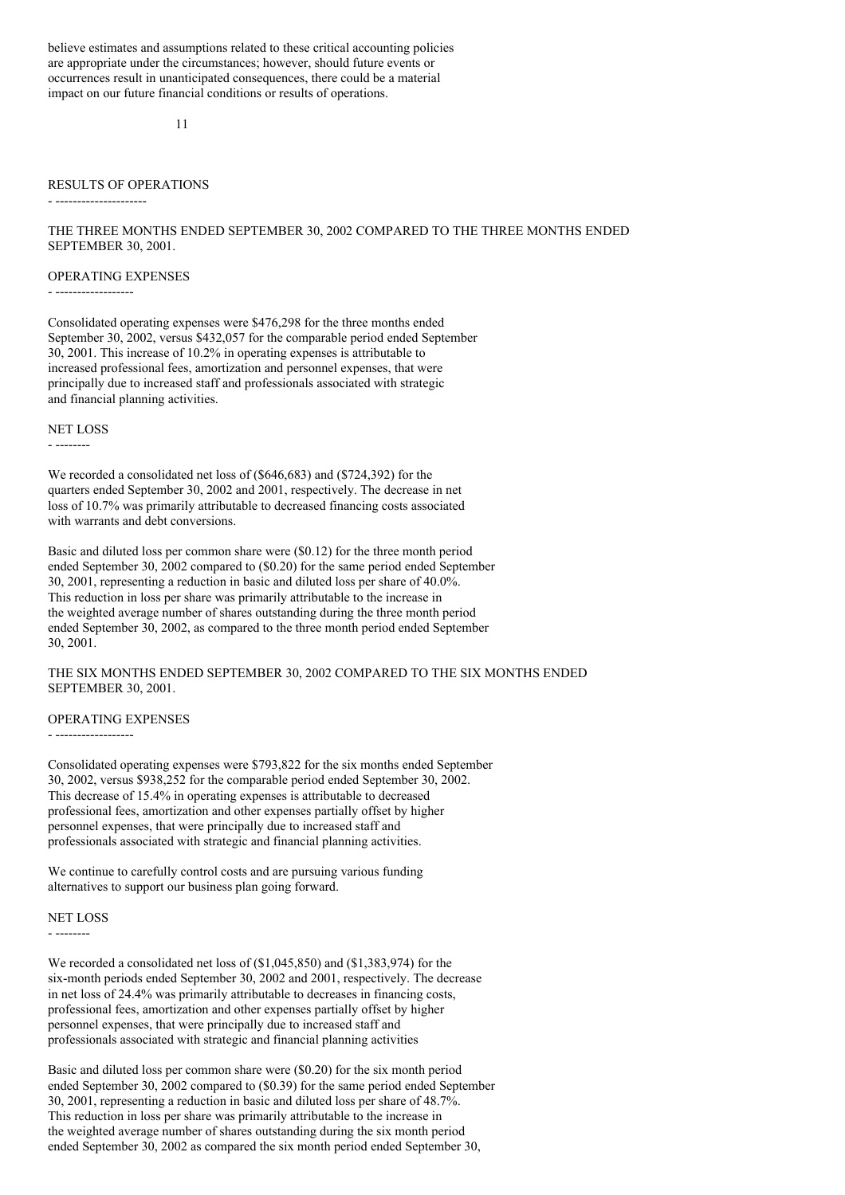believe estimates and assumptions related to these critical accounting policies are appropriate under the circumstances; however, should future events or occurrences result in unanticipated consequences, there could be a material impact on our future financial conditions or results of operations.

11

#### RESULTS OF OPERATIONS

#### - ---------------------

THE THREE MONTHS ENDED SEPTEMBER 30, 2002 COMPARED TO THE THREE MONTHS ENDED SEPTEMBER 30, 2001.

#### OPERATING EXPENSES

- ------------------

Consolidated operating expenses were \$476,298 for the three months ended September 30, 2002, versus \$432,057 for the comparable period ended September 30, 2001. This increase of 10.2% in operating expenses is attributable to increased professional fees, amortization and personnel expenses, that were principally due to increased staff and professionals associated with strategic and financial planning activities.

NET LOSS - --------

We recorded a consolidated net loss of (\$646,683) and (\$724,392) for the quarters ended September 30, 2002 and 2001, respectively. The decrease in net loss of 10.7% was primarily attributable to decreased financing costs associated with warrants and debt conversions.

Basic and diluted loss per common share were (\$0.12) for the three month period ended September 30, 2002 compared to (\$0.20) for the same period ended September 30, 2001, representing a reduction in basic and diluted loss per share of 40.0%. This reduction in loss per share was primarily attributable to the increase in the weighted average number of shares outstanding during the three month period ended September 30, 2002, as compared to the three month period ended September 30, 2001.

### THE SIX MONTHS ENDED SEPTEMBER 30, 2002 COMPARED TO THE SIX MONTHS ENDED SEPTEMBER 30, 2001.

### OPERATING EXPENSES

- ------------------

Consolidated operating expenses were \$793,822 for the six months ended September 30, 2002, versus \$938,252 for the comparable period ended September 30, 2002. This decrease of 15.4% in operating expenses is attributable to decreased professional fees, amortization and other expenses partially offset by higher personnel expenses, that were principally due to increased staff and professionals associated with strategic and financial planning activities.

We continue to carefully control costs and are pursuing various funding alternatives to support our business plan going forward.

#### NET LOSS

- --------

We recorded a consolidated net loss of (\$1,045,850) and (\$1,383,974) for the six-month periods ended September 30, 2002 and 2001, respectively. The decrease in net loss of 24.4% was primarily attributable to decreases in financing costs, professional fees, amortization and other expenses partially offset by higher personnel expenses, that were principally due to increased staff and professionals associated with strategic and financial planning activities

Basic and diluted loss per common share were (\$0.20) for the six month period ended September 30, 2002 compared to (\$0.39) for the same period ended September 30, 2001, representing a reduction in basic and diluted loss per share of 48.7%. This reduction in loss per share was primarily attributable to the increase in the weighted average number of shares outstanding during the six month period ended September 30, 2002 as compared the six month period ended September 30,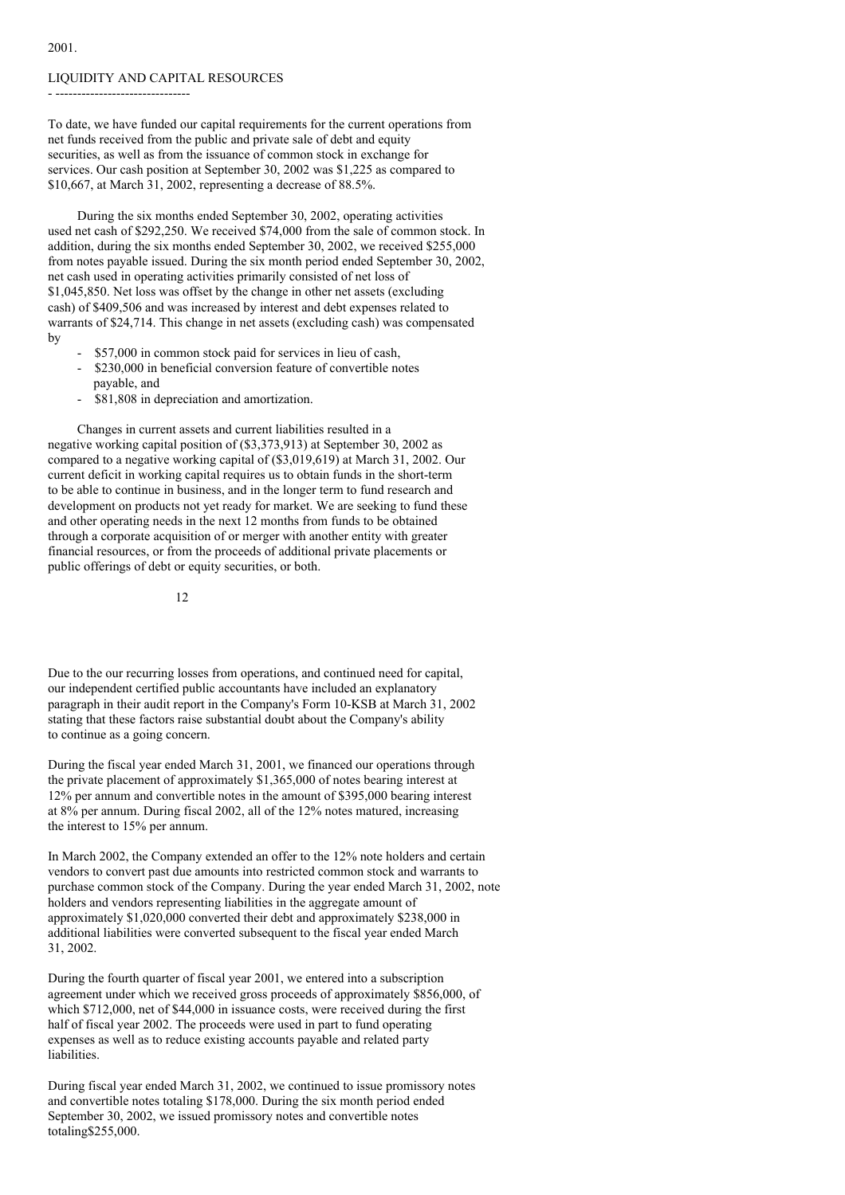# LIQUIDITY AND CAPITAL RESOURCES

- -------------------------------

To date, we have funded our capital requirements for the current operations from net funds received from the public and private sale of debt and equity securities, as well as from the issuance of common stock in exchange for services. Our cash position at September 30, 2002 was \$1,225 as compared to \$10,667, at March 31, 2002, representing a decrease of 88.5%.

During the six months ended September 30, 2002, operating activities used net cash of \$292,250. We received \$74,000 from the sale of common stock. In addition, during the six months ended September 30, 2002, we received \$255,000 from notes payable issued. During the six month period ended September 30, 2002, net cash used in operating activities primarily consisted of net loss of \$1,045,850. Net loss was offset by the change in other net assets (excluding cash) of \$409,506 and was increased by interest and debt expenses related to warrants of \$24,714. This change in net assets (excluding cash) was compensated by

- \$57,000 in common stock paid for services in lieu of cash,
- \$230,000 in beneficial conversion feature of convertible notes payable, and
- \$81,808 in depreciation and amortization.

Changes in current assets and current liabilities resulted in a negative working capital position of (\$3,373,913) at September 30, 2002 as compared to a negative working capital of (\$3,019,619) at March 31, 2002. Our current deficit in working capital requires us to obtain funds in the short-term to be able to continue in business, and in the longer term to fund research and development on products not yet ready for market. We are seeking to fund these and other operating needs in the next 12 months from funds to be obtained through a corporate acquisition of or merger with another entity with greater financial resources, or from the proceeds of additional private placements or public offerings of debt or equity securities, or both.

 $12$ 

Due to the our recurring losses from operations, and continued need for capital, our independent certified public accountants have included an explanatory paragraph in their audit report in the Company's Form 10-KSB at March 31, 2002 stating that these factors raise substantial doubt about the Company's ability to continue as a going concern.

During the fiscal year ended March 31, 2001, we financed our operations through the private placement of approximately \$1,365,000 of notes bearing interest at 12% per annum and convertible notes in the amount of \$395,000 bearing interest at 8% per annum. During fiscal 2002, all of the 12% notes matured, increasing the interest to 15% per annum.

In March 2002, the Company extended an offer to the 12% note holders and certain vendors to convert past due amounts into restricted common stock and warrants to purchase common stock of the Company. During the year ended March 31, 2002, note holders and vendors representing liabilities in the aggregate amount of approximately \$1,020,000 converted their debt and approximately \$238,000 in additional liabilities were converted subsequent to the fiscal year ended March 31, 2002.

During the fourth quarter of fiscal year 2001, we entered into a subscription agreement under which we received gross proceeds of approximately \$856,000, of which \$712,000, net of \$44,000 in issuance costs, were received during the first half of fiscal year 2002. The proceeds were used in part to fund operating expenses as well as to reduce existing accounts payable and related party liabilities.

During fiscal year ended March 31, 2002, we continued to issue promissory notes and convertible notes totaling \$178,000. During the six month period ended September 30, 2002, we issued promissory notes and convertible notes totaling\$255,000.

#### 2001.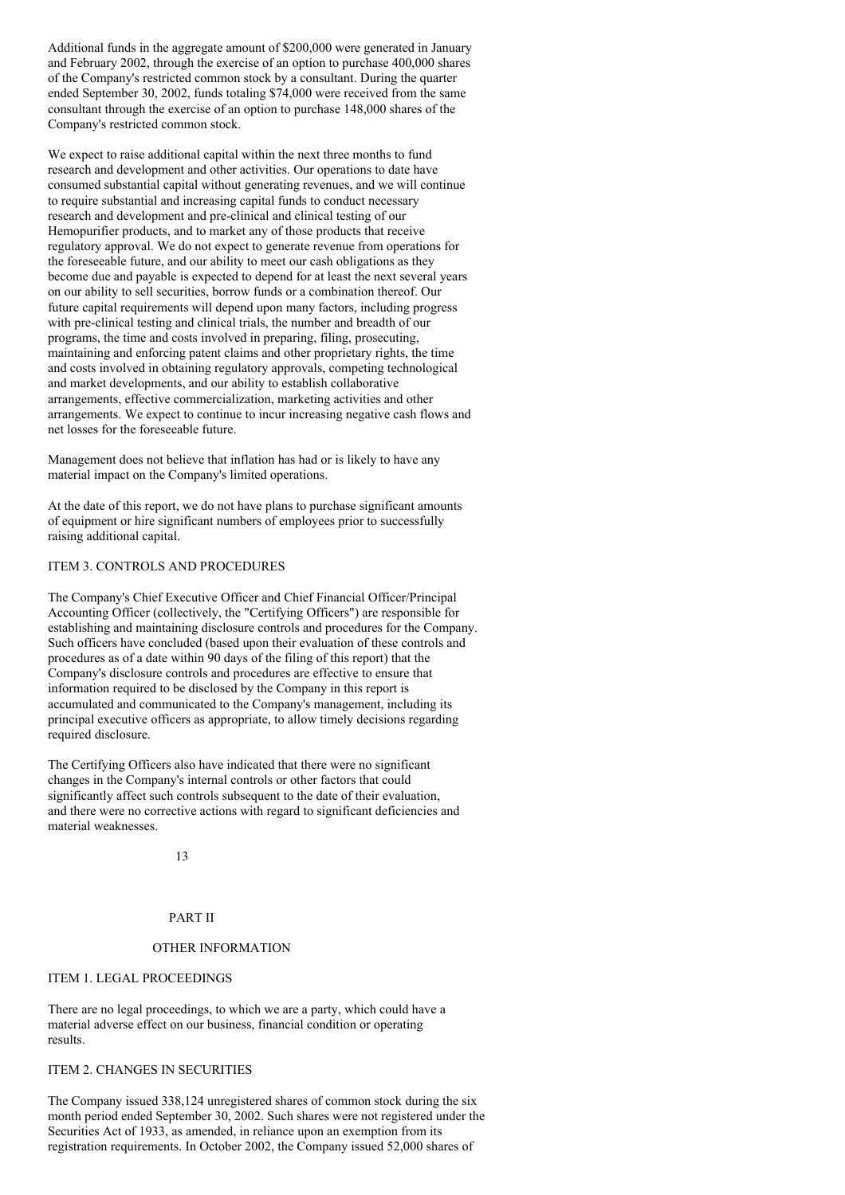Additional funds in the aggregate amount of \$200,000 were generated in January and February 2002, through the exercise of an option to purchase 400,000 shares of the Company's restricted common stock by a consultant. During the quarter ended September 30, 2002, funds totaling \$74,000 were received from the same consultant through the exercise of an option to purchase 148,000 shares of the Company's restricted common stock.

We expect to raise additional capital within the next three months to fund research and development and other activities. Our operations to date have consumed substantial capital without generating revenues, and we will continue to require substantial and increasing capital funds to conduct necessary research and development and pre-clinical and clinical testing of our Hemopurifier products, and to market any of those products that receive regulatory approval. We do not expect to generate revenue from operations for the foreseeable future, and our ability to meet our cash obligations as they become due and payable is expected to depend for at least the next several years on our ability to sell securities, borrow funds or a combination thereof. Our future capital requirements will depend upon many factors, including progress with pre-clinical testing and clinical trials, the number and breadth of our programs, the time and costs involved in preparing, filing, prosecuting, maintaining and enforcing patent claims and other proprietary rights, the time and costs involved in obtaining regulatory approvals, competing technological and market developments, and our ability to establish collaborative arrangements, effective commercialization, marketing activities and other arrangements. We expect to continue to incur increasing negative cash flows and net losses for the foreseeable future.

Management does not believe that inflation has had or is likely to have any material impact on the Company's limited operations.

At the date of this report, we do not have plans to purchase significant amounts of equipment or hire significant numbers of employees prior to successfully raising additional capital.

## ITEM 3. CONTROLS AND PROCEDURES

The Company's Chief Executive Officer and Chief Financial Officer/Principal Accounting Officer (collectively, the "Certifying Officers") are responsible for establishing and maintaining disclosure controls and procedures for the Company. Such officers have concluded (based upon their evaluation of these controls and procedures as of a date within 90 days of the filing of this report) that the Company's disclosure controls and procedures are effective to ensure that information required to be disclosed by the Company in this report is accumulated and communicated to the Company's management, including its principal executive officers as appropriate, to allow timely decisions regarding required disclosure.

The Certifying Officers also have indicated that there were no significant changes in the Company's internal controls or other factors that could significantly affect such controls subsequent to the date of their evaluation, and there were no corrective actions with regard to significant deficiencies and material weaknesses.

13

## PART II

#### OTHER INFORMATION

### ITEM 1. LEGAL PROCEEDINGS

There are no legal proceedings, to which we are a party, which could have a material adverse effect on our business, financial condition or operating results.

## ITEM 2. CHANGES IN SECURITIES

The Company issued 338,124 unregistered shares of common stock during the six month period ended September 30, 2002. Such shares were not registered under the Securities Act of 1933, as amended, in reliance upon an exemption from its registration requirements. In October 2002, the Company issued 52,000 shares of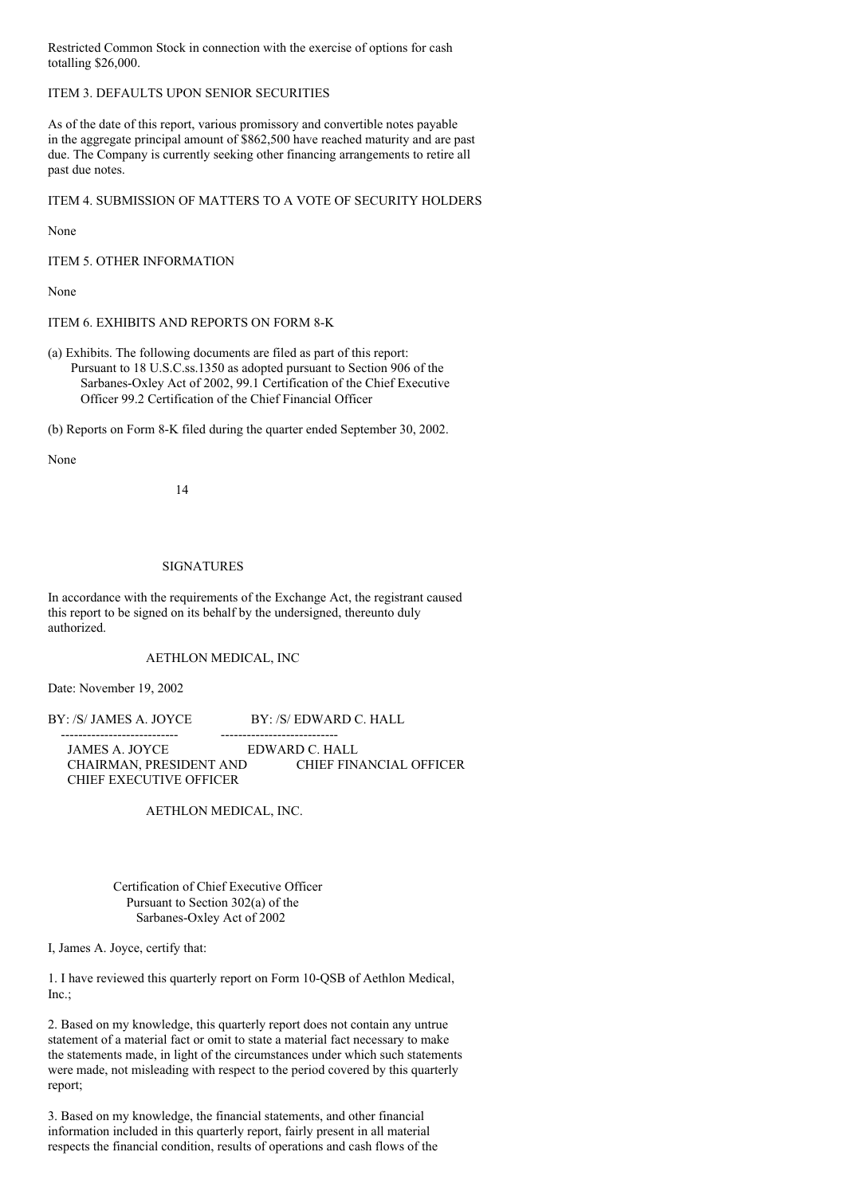Restricted Common Stock in connection with the exercise of options for cash totalling \$26,000.

## ITEM 3. DEFAULTS UPON SENIOR SECURITIES

As of the date of this report, various promissory and convertible notes payable in the aggregate principal amount of \$862,500 have reached maturity and are past due. The Company is currently seeking other financing arrangements to retire all past due notes.

ITEM 4. SUBMISSION OF MATTERS TO A VOTE OF SECURITY HOLDERS

None

ITEM 5. OTHER INFORMATION

None

ITEM 6. EXHIBITS AND REPORTS ON FORM 8-K

(a) Exhibits. The following documents are filed as part of this report: Pursuant to 18 U.S.C.ss.1350 as adopted pursuant to Section 906 of the Sarbanes-Oxley Act of 2002, 99.1 Certification of the Chief Executive Officer 99.2 Certification of the Chief Financial Officer

(b) Reports on Form 8-K filed during the quarter ended September 30, 2002.

None

14

## SIGNATURES

In accordance with the requirements of the Exchange Act, the registrant caused this report to be signed on its behalf by the undersigned, thereunto duly authorized.

## AETHLON MEDICAL, INC

Date: November 19, 2002

BY: /S/ JAMES A. JOYCE BY: /S/ EDWARD C. HALL

--------------------------- --------------------------- JAMES A. JOYCE EDWARD C. HALL CHAIRMAN, PRESIDENT AND CHIEF FINANCIAL OFFICER CHIEF EXECUTIVE OFFICER

AETHLON MEDICAL, INC.

Certification of Chief Executive Officer Pursuant to Section 302(a) of the Sarbanes-Oxley Act of 2002

I, James A. Joyce, certify that:

1. I have reviewed this quarterly report on Form 10-QSB of Aethlon Medical, Inc.;

2. Based on my knowledge, this quarterly report does not contain any untrue statement of a material fact or omit to state a material fact necessary to make the statements made, in light of the circumstances under which such statements were made, not misleading with respect to the period covered by this quarterly report;

3. Based on my knowledge, the financial statements, and other financial information included in this quarterly report, fairly present in all material respects the financial condition, results of operations and cash flows of the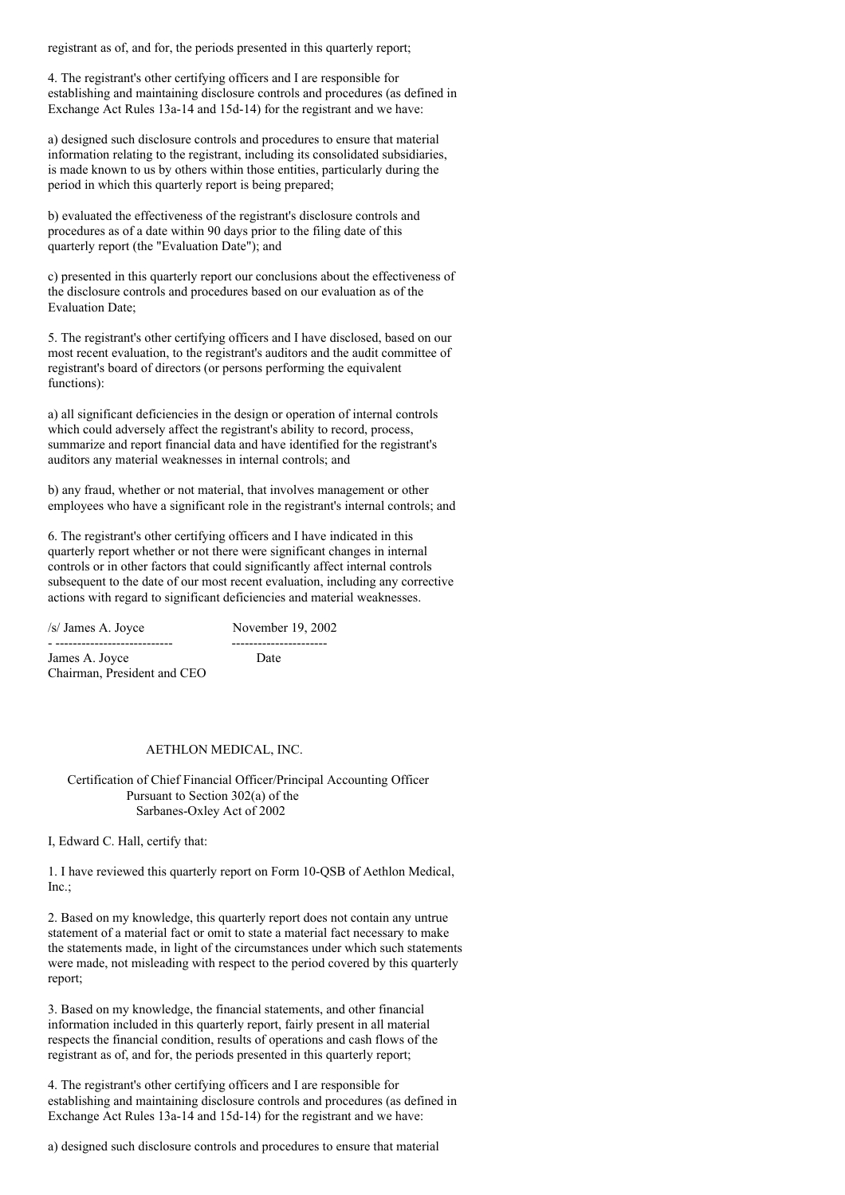registrant as of, and for, the periods presented in this quarterly report;

4. The registrant's other certifying officers and I are responsible for establishing and maintaining disclosure controls and procedures (as defined in Exchange Act Rules 13a-14 and 15d-14) for the registrant and we have:

a) designed such disclosure controls and procedures to ensure that material information relating to the registrant, including its consolidated subsidiaries, is made known to us by others within those entities, particularly during the period in which this quarterly report is being prepared;

b) evaluated the effectiveness of the registrant's disclosure controls and procedures as of a date within 90 days prior to the filing date of this quarterly report (the "Evaluation Date"); and

c) presented in this quarterly report our conclusions about the effectiveness of the disclosure controls and procedures based on our evaluation as of the Evaluation Date;

5. The registrant's other certifying officers and I have disclosed, based on our most recent evaluation, to the registrant's auditors and the audit committee of registrant's board of directors (or persons performing the equivalent functions):

a) all significant deficiencies in the design or operation of internal controls which could adversely affect the registrant's ability to record, process, summarize and report financial data and have identified for the registrant's auditors any material weaknesses in internal controls; and

b) any fraud, whether or not material, that involves management or other employees who have a significant role in the registrant's internal controls; and

6. The registrant's other certifying officers and I have indicated in this quarterly report whether or not there were significant changes in internal controls or in other factors that could significantly affect internal controls subsequent to the date of our most recent evaluation, including any corrective actions with regard to significant deficiencies and material weaknesses.

| /s/ James A. Joyce          | November 19, 2002 |
|-----------------------------|-------------------|
|                             |                   |
| James A. Joyce              | Date              |
| Chairman. President and CEO |                   |

## AETHLON MEDICAL, INC.

Certification of Chief Financial Officer/Principal Accounting Officer Pursuant to Section 302(a) of the Sarbanes-Oxley Act of 2002

I, Edward C. Hall, certify that:

1. I have reviewed this quarterly report on Form 10-QSB of Aethlon Medical, Inc.;

2. Based on my knowledge, this quarterly report does not contain any untrue statement of a material fact or omit to state a material fact necessary to make the statements made, in light of the circumstances under which such statements were made, not misleading with respect to the period covered by this quarterly report;

3. Based on my knowledge, the financial statements, and other financial information included in this quarterly report, fairly present in all material respects the financial condition, results of operations and cash flows of the registrant as of, and for, the periods presented in this quarterly report;

4. The registrant's other certifying officers and I are responsible for establishing and maintaining disclosure controls and procedures (as defined in Exchange Act Rules 13a-14 and 15d-14) for the registrant and we have:

a) designed such disclosure controls and procedures to ensure that material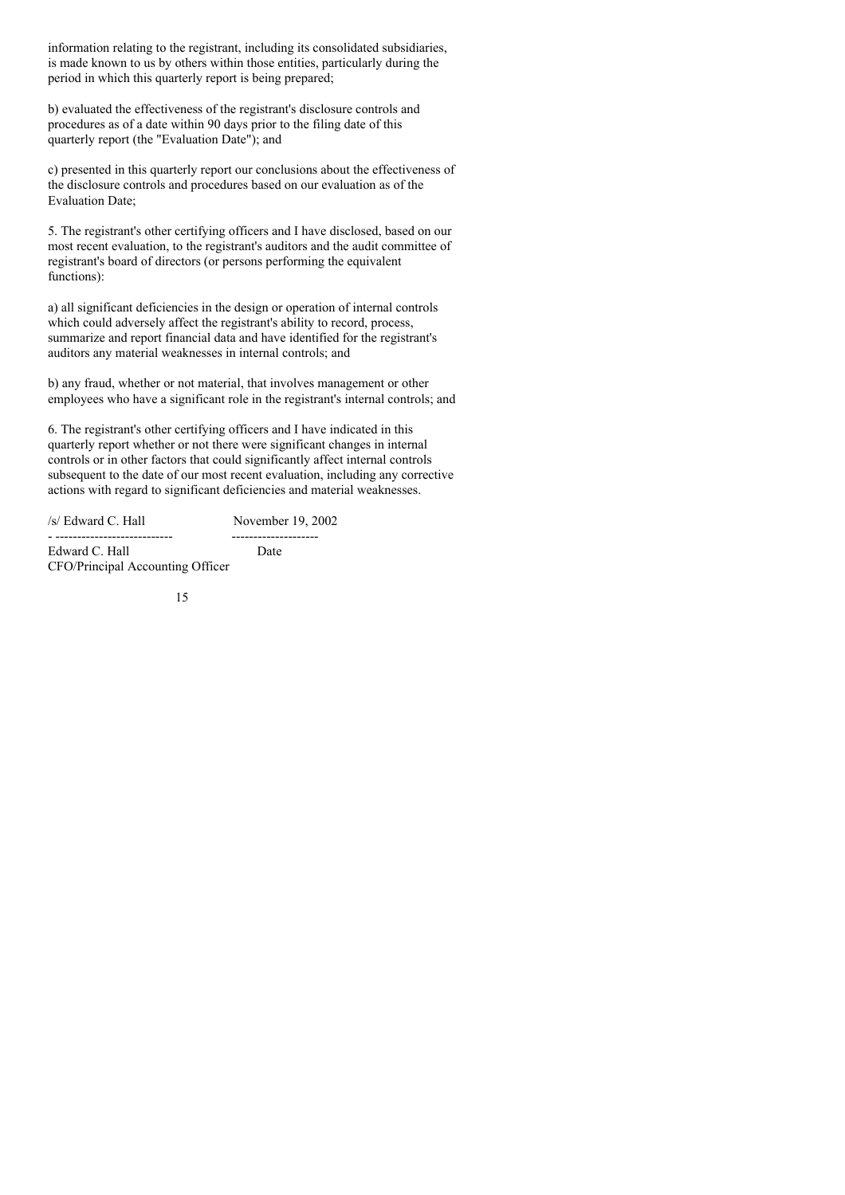information relating to the registrant, including its consolidated subsidiaries, is made known to us by others within those entities, particularly during the period in which this quarterly report is being prepared;

b) evaluated the effectiveness of the registrant's disclosure controls and procedures as of a date within 90 days prior to the filing date of this quarterly report (the "Evaluation Date"); and

c) presented in this quarterly report our conclusions about the effectiveness of the disclosure controls and procedures based on our evaluation as of the Evaluation Date;

5. The registrant's other certifying officers and I have disclosed, based on our most recent evaluation, to the registrant's auditors and the audit committee of registrant's board of directors (or persons performing the equivalent functions):

a) all significant deficiencies in the design or operation of internal controls which could adversely affect the registrant's ability to record, process, summarize and report financial data and have identified for the registrant's auditors any material weaknesses in internal controls; and

b) any fraud, whether or not material, that involves management or other employees who have a significant role in the registrant's internal controls; and

6. The registrant's other certifying officers and I have indicated in this quarterly report whether or not there were significant changes in internal controls or in other factors that could significantly affect internal controls subsequent to the date of our most recent evaluation, including any corrective actions with regard to significant deficiencies and material weaknesses.

| /s/ Edward C. Hall               | November 19, 2002 |
|----------------------------------|-------------------|
|                                  |                   |
| Edward C. Hall                   | Date              |
| CFO/Principal Accounting Officer |                   |

| I                  |
|--------------------|
| ۰.<br>I<br>۰.<br>× |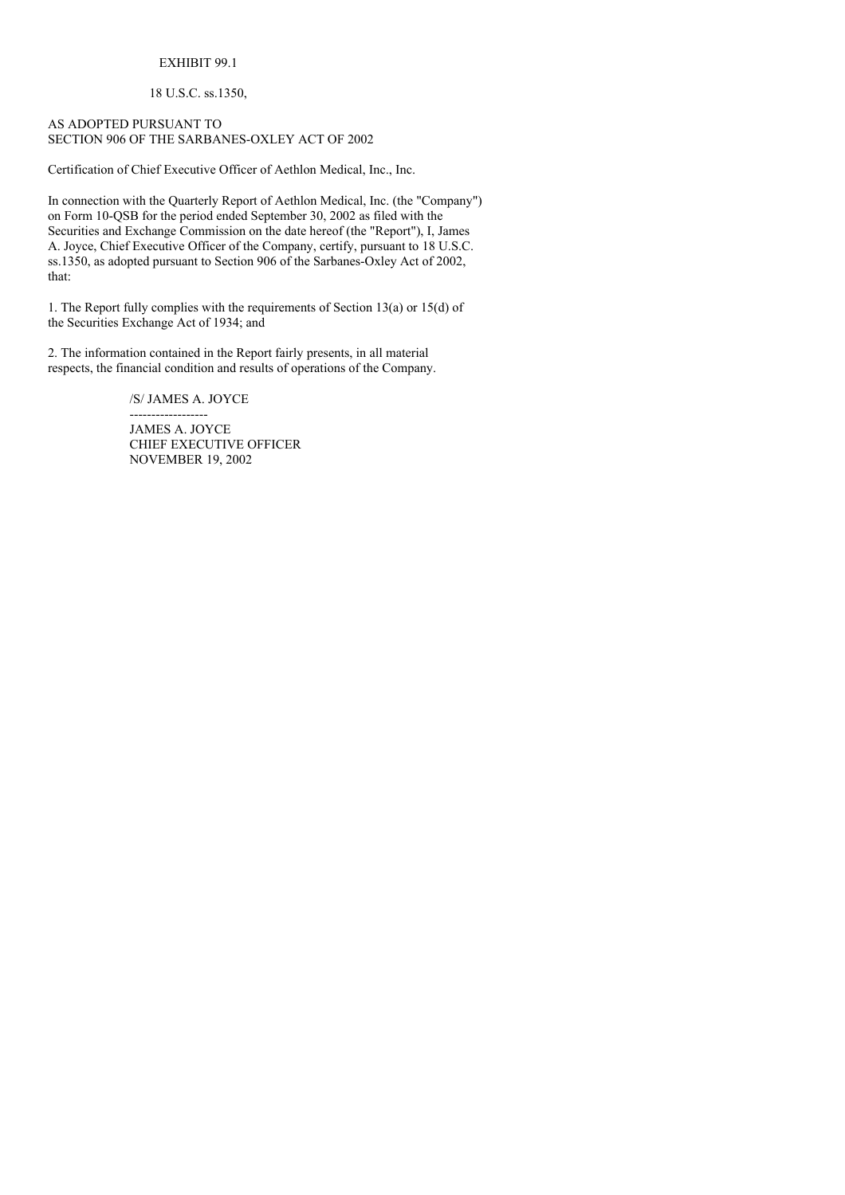## EXHIBIT 99.1

## 18 U.S.C. ss.1350,

## AS ADOPTED PURSUANT TO SECTION 906 OF THE SARBANES-OXLEY ACT OF 2002

Certification of Chief Executive Officer of Aethlon Medical, Inc., Inc.

In connection with the Quarterly Report of Aethlon Medical, Inc. (the "Company") on Form 10-QSB for the period ended September 30, 2002 as filed with the Securities and Exchange Commission on the date hereof (the "Report"), I, James A. Joyce, Chief Executive Officer of the Company, certify, pursuant to 18 U.S.C. ss.1350, as adopted pursuant to Section 906 of the Sarbanes-Oxley Act of 2002, that:

1. The Report fully complies with the requirements of Section 13(a) or 15(d) of the Securities Exchange Act of 1934; and

2. The information contained in the Report fairly presents, in all material respects, the financial condition and results of operations of the Company.

/S/ JAMES A. JOYCE

------------------ JAMES A. JOYCE CHIEF EXECUTIVE OFFICER NOVEMBER 19, 2002